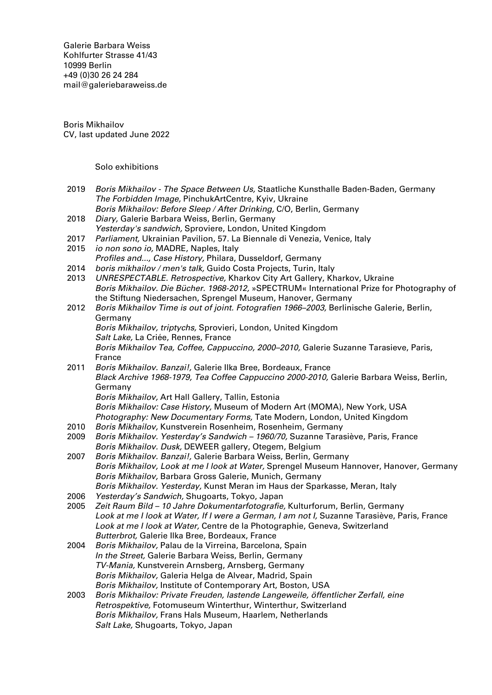Galerie Barbara Weiss [Kohlfurter Strasse 41/43](https://goo.gl/maps/ZQcePopa6uu3a3k19) [10999 Berlin](https://goo.gl/maps/ZQcePopa6uu3a3k19) +49 (0)30 26 24 284 [mail@galeriebaraweiss.de](mailto:mail@galeriebarbaraweiss.de)

Boris Mikhailov CV, last updated June 2022

Solo exhibitions

- 2019 Boris Mikhailov The Space Between Us, Staatliche Kunsthalle Baden-Baden, Germany The Forbidden Image, PinchukArtCentre, Kyiv, Ukraine
- Boris Mikhailov: Before Sleep / After Drinking, C/O, Berlin, Germany 2018 Diary, Galerie Barbara Weiss, Berlin, Germany Yesterday's sandwich, Sproviere, London, United Kingdom
- 2017 Parliament, Ukrainian Pavilion, 57. La Biennale di Venezia, Venice, Italy
- 2015 *io non sono io*, MADRE, Naples, Italy Profiles and..., Case History, Philara, Dusseldorf, Germany
- 2014 boris mikhailov / men's talk, Guido Costa Projects, Turin, Italy
- 2013 UNRESPECTABLE. Retrospective, Kharkov City Art Gallery, Kharkov, Ukraine Boris Mikhailov. Die Bücher. 1968-2012, »SPECTRUM« International Prize for Photography of the Stiftung Niedersachen, Sprengel Museum, Hanover, Germany
- 2012 Boris Mikhailov Time is out of joint. Fotografien 1966–2003, Berlinische Galerie, Berlin, Germany Boris Mikhailov, triptychs, Sprovieri, London, United Kingdom Salt Lake, La Criée, Rennes, France Boris Mikhailov Tea, Coffee, Cappuccino, 2000–2010, Galerie Suzanne Tarasieve, Paris, France
- 2011 Boris Mikhailov. Banzai!, Galerie Ilka Bree, Bordeaux, France Black Archive 1968-1979, Tea Coffee Cappuccino 2000-2010, Galerie Barbara Weiss, Berlin, Germany Boris Mikhailov, Art Hall Gallery, Tallin, Estonia Boris Mikhailov: Case History, Museum of Modern Art (MOMA), New York, USA
- Photography: New Documentary Forms, Tate Modern, London, United Kingdom
- 2010 Boris Mikhailov, Kunstverein Rosenheim, Rosenheim, Germany
- 2009 Boris Mikhailov. Yesterday's Sandwich 1960/70, Suzanne Tarasiève, Paris, France Boris Mikhailov. Dusk, DEWEER gallery, Otegem, Belgium
- 2007 Boris Mikhailov. Banzai!, Galerie Barbara Weiss, Berlin, Germany Boris Mikhailov, Look at me I look at Water, Sprengel Museum Hannover, Hanover, Germany Boris Mikhailov, Barbara Gross Galerie, Munich, Germany Boris Mikhailov. Yesterday, Kunst Meran im Haus der Sparkasse, Meran, Italy
- 2006 Yesterday's Sandwich, Shugoarts, Tokyo, Japan
- 2005 Zeit Raum Bild 10 Jahre Dokumentarfotografie, Kulturforum, Berlin, Germany Look at me I look at Water, If I were a German, I am not I, Suzanne Tarasiève, Paris, France Look at me I look at Water, Centre de la Photographie, Geneva, Switzerland Butterbrot, Galerie Ilka Bree, Bordeaux, France
- 2004 Boris Mikhailov, Palau de la Virreina, Barcelona, Spain In the Street, Galerie Barbara Weiss, Berlin, Germany TV-Mania, Kunstverein Arnsberg, Arnsberg, Germany Boris Mikhailov, Galeria Helga de Alvear, Madrid, Spain Boris Mikhailov, Institute of Contemporary Art, Boston, USA
- 2003 Boris Mikhailov: Private Freuden, lastende Langeweile, öffentlicher Zerfall, eine Retrospektive, Fotomuseum Winterthur, Winterthur, Switzerland Boris Mikhailov, Frans Hals Museum, Haarlem, Netherlands Salt Lake, Shugoarts, Tokyo, Japan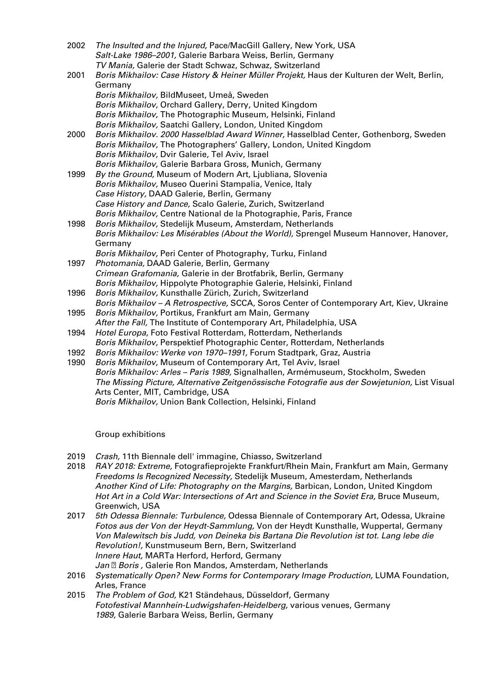| 2002 | The Insulted and the Injured, Pace/MacGill Gallery, New York, USA                                                      |
|------|------------------------------------------------------------------------------------------------------------------------|
|      | Salt-Lake 1986-2001, Galerie Barbara Weiss, Berlin, Germany<br>TV Mania, Galerie der Stadt Schwaz, Schwaz, Switzerland |
| 2001 | Boris Mikhailov: Case History & Heiner Müller Projekt, Haus der Kulturen der Welt, Berlin,                             |
|      | Germany                                                                                                                |
|      | Boris Mikhailov, BildMuseet, Umeå, Sweden                                                                              |
|      | Boris Mikhailov, Orchard Gallery, Derry, United Kingdom                                                                |
|      | Boris Mikhailov, The Photographic Museum, Helsinki, Finland                                                            |
|      | Boris Mikhailov, Saatchi Gallery, London, United Kingdom                                                               |
| 2000 | Boris Mikhailov. 2000 Hasselblad Award Winner, Hasselblad Center, Gothenborg, Sweden                                   |
|      | Boris Mikhailov, The Photographers' Gallery, London, United Kingdom                                                    |
|      | Boris Mikhailov, Dvir Galerie, Tel Aviv, Israel                                                                        |
|      | Boris Mikhailov, Galerie Barbara Gross, Munich, Germany                                                                |
| 1999 | By the Ground, Museum of Modern Art, Ljubliana, Slovenia                                                               |
|      | Boris Mikhailov, Museo Querini Stampalia, Venice, Italy                                                                |
|      | Case History, DAAD Galerie, Berlin, Germany                                                                            |
|      | Case History and Dance, Scalo Galerie, Zurich, Switzerland                                                             |
|      | Boris Mikhailov, Centre National de la Photographie, Paris, France                                                     |
| 1998 | Boris Mikhailov, Stedelijk Museum, Amsterdam, Netherlands                                                              |
|      | Boris Mikhailov: Les Misérables (About the World), Sprengel Museum Hannover, Hanover,                                  |
|      | Germany                                                                                                                |
|      | Boris Mikhailov, Peri Center of Photography, Turku, Finland                                                            |
| 1997 | Photomania, DAAD Galerie, Berlin, Germany                                                                              |
|      | Crimean Grafomania, Galerie in der Brotfabrik, Berlin, Germany                                                         |
|      | Boris Mikhailov, Hippolyte Photographie Galerie, Helsinki, Finland                                                     |
| 1996 | Boris Mikhailov, Kunsthalle Zürich, Zurich, Switzerland                                                                |
|      | Boris Mikhailov - A Retrospective, SCCA, Soros Center of Contemporary Art, Kiev, Ukraine                               |
| 1995 | Boris Mikhailov, Portikus, Frankfurt am Main, Germany                                                                  |
|      | After the Fall, The Institute of Contemporary Art, Philadelphia, USA                                                   |
| 1994 | Hotel Europa, Foto Festival Rotterdam, Rotterdam, Netherlands                                                          |
|      | Boris Mikhailov, Perspektief Photographic Center, Rotterdam, Netherlands                                               |
| 1992 | Boris Mikhailov: Werke von 1970-1991, Forum Stadtpark, Graz, Austria                                                   |
| 1990 | Boris Mikhailov, Museum of Contemporary Art, Tel Aviv, Israel                                                          |
|      | Boris Mikhailov: Arles - Paris 1989, Signalhallen, Armémuseum, Stockholm, Sweden                                       |

The Missing Picture, Alternative Zeitgenössische Fotografie aus der Sowjetunion, List Visual Arts Center, MIT, Cambridge, USA

Boris Mikhailov, Union Bank Collection, Helsinki, Finland

Group exhibitions

- 2019 Crash, 11th Biennale dell' immagine, Chiasso, Switzerland
- 2018 RAY 2018: Extreme, Fotografieprojekte Frankfurt/Rhein Main, Frankfurt am Main, Germany Freedoms Is Recognized Necessity, Stedelijk Museum, Amesterdam, Netherlands Another Kind of Life: Photography on the Margins, Barbican, London, United Kingdom Hot Art in a Cold War: Intersections of Art and Science in the Soviet Era, Bruce Museum, Greenwich, USA
- 2017 5th Odessa Biennale: Turbulence, Odessa Biennale of Contemporary Art, Odessa, Ukraine Fotos aus der Von der Heydt-Sammlung, Von der Heydt Kunsthalle, Wuppertal, Germany Von Malewitsch bis Judd, von Deineka bis Bartana Die Revolution ist tot. Lang lebe die Revolution!, Kunstmuseum Bern, Bern, Switzerland Innere Haut, MARTa Herford, Herford, Germany Jan <sup>®</sup> Boris, Galerie Ron Mandos, Amsterdam, Netherlands
- 2016 Systematically Open? New Forms for Contemporary Image Production, LUMA Foundation, Arles, France
- 2015 The Problem of God, K21 Ständehaus, Düsseldorf, Germany Fotofestival Mannhein-Ludwigshafen-Heidelberg, various venues, Germany 1989, Galerie Barbara Weiss, Berlin, Germany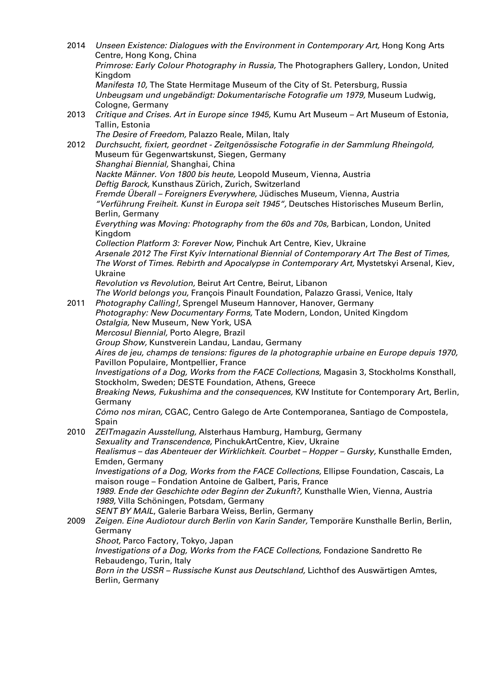| 2014 | Unseen Existence: Dialogues with the Environment in Contemporary Art, Hong Kong Arts<br>Centre, Hong Kong, China                                 |
|------|--------------------------------------------------------------------------------------------------------------------------------------------------|
|      | Primrose: Early Colour Photography in Russia, The Photographers Gallery, London, United                                                          |
|      | Kingdom                                                                                                                                          |
|      | Manifesta 10, The State Hermitage Museum of the City of St. Petersburg, Russia                                                                   |
|      | Unbeugsam und ungebändigt: Dokumentarische Fotografie um 1979, Museum Ludwig,<br>Cologne, Germany                                                |
| 2013 | Critique and Crises. Art in Europe since 1945, Kumu Art Museum - Art Museum of Estonia,                                                          |
|      | Tallin, Estonia                                                                                                                                  |
|      | The Desire of Freedom, Palazzo Reale, Milan, Italy                                                                                               |
| 2012 | Durchsucht, fixiert, geordnet - Zeitgenössische Fotografie in der Sammlung Rheingold,                                                            |
|      | Museum für Gegenwartskunst, Siegen, Germany<br>Shanghai Biennial, Shanghai, China                                                                |
|      | Nackte Männer. Von 1800 bis heute, Leopold Museum, Vienna, Austria                                                                               |
|      | Deftig Barock, Kunsthaus Zürich, Zurich, Switzerland                                                                                             |
|      | Fremde Überall – Foreigners Everywhere, Jüdisches Museum, Vienna, Austria                                                                        |
|      | "Verführung Freiheit. Kunst in Europa seit 1945", Deutsches Historisches Museum Berlin,                                                          |
|      | Berlin, Germany                                                                                                                                  |
|      | Everything was Moving: Photography from the 60s and 70s, Barbican, London, United                                                                |
|      | Kingdom<br>Collection Platform 3: Forever Now, Pinchuk Art Centre, Kiev, Ukraine                                                                 |
|      | Arsenale 2012 The First Kyiv International Biennial of Contemporary Art The Best of Times,                                                       |
|      | The Worst of Times. Rebirth and Apocalypse in Contemporary Art, Mystetskyi Arsenal, Kiev,                                                        |
|      | Ukraine                                                                                                                                          |
|      | Revolution vs Revolution, Beirut Art Centre, Beirut, Libanon                                                                                     |
|      | The World belongs you, François Pinault Foundation, Palazzo Grassi, Venice, Italy                                                                |
| 2011 | Photography Calling!, Sprengel Museum Hannover, Hanover, Germany                                                                                 |
|      | Photography: New Documentary Forms, Tate Modern, London, United Kingdom<br>Ostalgia, New Museum, New York, USA                                   |
|      | Mercosul Biennial, Porto Alegre, Brazil                                                                                                          |
|      | Group Show, Kunstverein Landau, Landau, Germany                                                                                                  |
|      | Aires de jeu, champs de tensions: figures de la photographie urbaine en Europe depuis 1970,                                                      |
|      | Pavillon Populaire, Montpellier, France                                                                                                          |
|      | Investigations of a Dog, Works from the FACE Collections, Magasin 3, Stockholms Konsthall,                                                       |
|      | Stockholm, Sweden; DESTE Foundation, Athens, Greece<br>Breaking News, Fukushima and the consequences, KW Institute for Contemporary Art, Berlin, |
|      | Germany                                                                                                                                          |
|      | Cómo nos miran, CGAC, Centro Galego de Arte Contemporanea, Santiago de Compostela,                                                               |
|      | Spain                                                                                                                                            |
| 2010 | ZEITmagazin Ausstellung, Alsterhaus Hamburg, Hamburg, Germany                                                                                    |
|      | Sexuality and Transcendence, PinchukArtCentre, Kiev, Ukraine                                                                                     |
|      | Realismus - das Abenteuer der Wirklichkeit. Courbet - Hopper - Gursky, Kunsthalle Emden,                                                         |
|      | Emden, Germany<br>Investigations of a Dog, Works from the FACE Collections, Ellipse Foundation, Cascais, La                                      |
|      | maison rouge - Fondation Antoine de Galbert, Paris, France                                                                                       |
|      | 1989. Ende der Geschichte oder Beginn der Zukunft?, Kunsthalle Wien, Vienna, Austria                                                             |
|      | 1989, Villa Schöningen, Potsdam, Germany                                                                                                         |
|      | SENT BY MAIL, Galerie Barbara Weiss, Berlin, Germany                                                                                             |
| 2009 | Zeigen. Eine Audiotour durch Berlin von Karin Sander, Temporäre Kunsthalle Berlin, Berlin,                                                       |
|      | Germany<br>Shoot, Parco Factory, Tokyo, Japan                                                                                                    |
|      | Investigations of a Dog, Works from the FACE Collections, Fondazione Sandretto Re                                                                |
|      | Rebaudengo, Turin, Italy                                                                                                                         |
|      | Born in the USSR - Russische Kunst aus Deutschland, Lichthof des Auswärtigen Amtes,                                                              |
|      | Berlin, Germany                                                                                                                                  |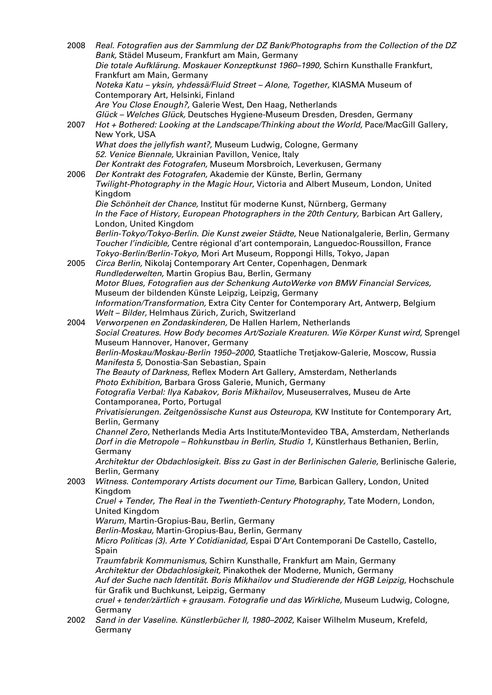| 2008 | Real. Fotografien aus der Sammlung der DZ Bank/Photographs from the Collection of the DZ<br>Bank, Städel Museum, Frankfurt am Main, Germany |
|------|---------------------------------------------------------------------------------------------------------------------------------------------|
|      | Die totale Aufklärung. Moskauer Konzeptkunst 1960-1990, Schirn Kunsthalle Frankfurt,<br>Frankfurt am Main, Germany                          |
|      | Noteka Katu - yksin, yhdessä/Fluid Street - Alone, Together, KIASMA Museum of                                                               |
|      | Contemporary Art, Helsinki, Finland                                                                                                         |
|      | Are You Close Enough?, Galerie West, Den Haag, Netherlands<br>Glück - Welches Glück, Deutsches Hygiene-Museum Dresden, Dresden, Germany     |
| 2007 | Hot + Bothered: Looking at the Landscape/Thinking about the World, Pace/MacGill Gallery,                                                    |
|      | New York, USA                                                                                                                               |
|      | What does the jellyfish want?, Museum Ludwig, Cologne, Germany<br>52. Venice Biennale, Ukrainian Pavillon, Venice, Italy                    |
|      | Der Kontrakt des Fotografen, Museum Morsbroich, Leverkusen, Germany                                                                         |
| 2006 | Der Kontrakt des Fotografen, Akademie der Künste, Berlin, Germany                                                                           |
|      | Twilight-Photography in the Magic Hour, Victoria and Albert Museum, London, United<br>Kingdom                                               |
|      | Die Schönheit der Chance, Institut für moderne Kunst, Nürnberg, Germany                                                                     |
|      | In the Face of History, European Photographers in the 20th Century, Barbican Art Gallery,                                                   |
|      | London, United Kingdom<br>Berlin-Tokyo/Tokyo-Berlin. Die Kunst zweier Städte, Neue Nationalgalerie, Berlin, Germany                         |
|      | Toucher l'indicible, Centre régional d'art contemporain, Languedoc-Roussillon, France                                                       |
|      | Tokyo-Berlin/Berlin-Tokyo, Mori Art Museum, Roppongi Hills, Tokyo, Japan                                                                    |
| 2005 | Circa Berlin, Nikolaj Contemporary Art Center, Copenhagen, Denmark<br>Rundlederwelten, Martin Gropius Bau, Berlin, Germany                  |
|      | Motor Blues, Fotografien aus der Schenkung AutoWerke von BMW Financial Services,                                                            |
|      | Museum der bildenden Künste Leipzig, Leipzig, Germany                                                                                       |
|      | Information/Transformation, Extra City Center for Contemporary Art, Antwerp, Belgium<br>Welt - Bilder, Helmhaus Zürich, Zurich, Switzerland |
| 2004 | Verworpenen en Zondaskinderen, De Hallen Harlem, Netherlands                                                                                |
|      | Social Creatures. How Body becomes Art/Soziale Kreaturen. Wie Körper Kunst wird, Sprengel                                                   |
|      | Museum Hannover, Hanover, Germany<br>Berlin-Moskau/Moskau-Berlin 1950-2000, Staatliche Tretjakow-Galerie, Moscow, Russia                    |
|      | Manifesta 5, Donostia-San Sebastian, Spain                                                                                                  |
|      | The Beauty of Darkness, Reflex Modern Art Gallery, Amsterdam, Netherlands                                                                   |
|      | Photo Exhibition, Barbara Gross Galerie, Munich, Germany<br>Fotografia Verbal: Ilya Kabakov, Boris Mikhailov, Museuserralves, Museu de Arte |
|      | Contamporanea, Porto, Portugal                                                                                                              |
|      | Privatisierungen. Zeitgenössische Kunst aus Osteuropa, KW Institute for Contemporary Art,<br>Berlin, Germany                                |
|      | Channel Zero, Netherlands Media Arts Institute/Montevideo TBA, Amsterdam, Netherlands                                                       |
|      | Dorf in die Metropole – Rohkunstbau in Berlin, Studio 1, Künstlerhaus Bethanien, Berlin,<br>Germany                                         |
|      | Architektur der Obdachlosigkeit. Biss zu Gast in der Berlinischen Galerie, Berlinische Galerie,                                             |
| 2003 | Berlin, Germany<br>Witness. Contemporary Artists document our Time, Barbican Gallery, London, United                                        |
|      | Kingdom                                                                                                                                     |
|      | Cruel + Tender, The Real in the Twentieth-Century Photography, Tate Modern, London,                                                         |
|      | United Kingdom<br>Warum, Martin-Gropius-Bau, Berlin, Germany                                                                                |
|      | Berlin-Moskau, Martin-Gropius-Bau, Berlin, Germany                                                                                          |
|      | Micro Politicas (3). Arte Y Cotidianidad, Espai D'Art Contemporani De Castello, Castello,                                                   |
|      | Spain<br>Traumfabrik Kommunismus, Schirn Kunsthalle, Frankfurt am Main, Germany                                                             |
|      | Architektur der Obdachlosigkeit, Pinakothek der Moderne, Munich, Germany                                                                    |
|      | Auf der Suche nach Identität. Boris Mikhailov und Studierende der HGB Leipzig, Hochschule                                                   |
|      | für Grafik und Buchkunst, Leipzig, Germany<br>cruel + tender/zärtlich + grausam. Fotografie und das Wirkliche, Museum Ludwig, Cologne,      |
|      | Germany                                                                                                                                     |
| 2002 | Sand in der Vaseline. Künstlerbücher II, 1980-2002, Kaiser Wilhelm Museum, Krefeld,<br>Germany                                              |